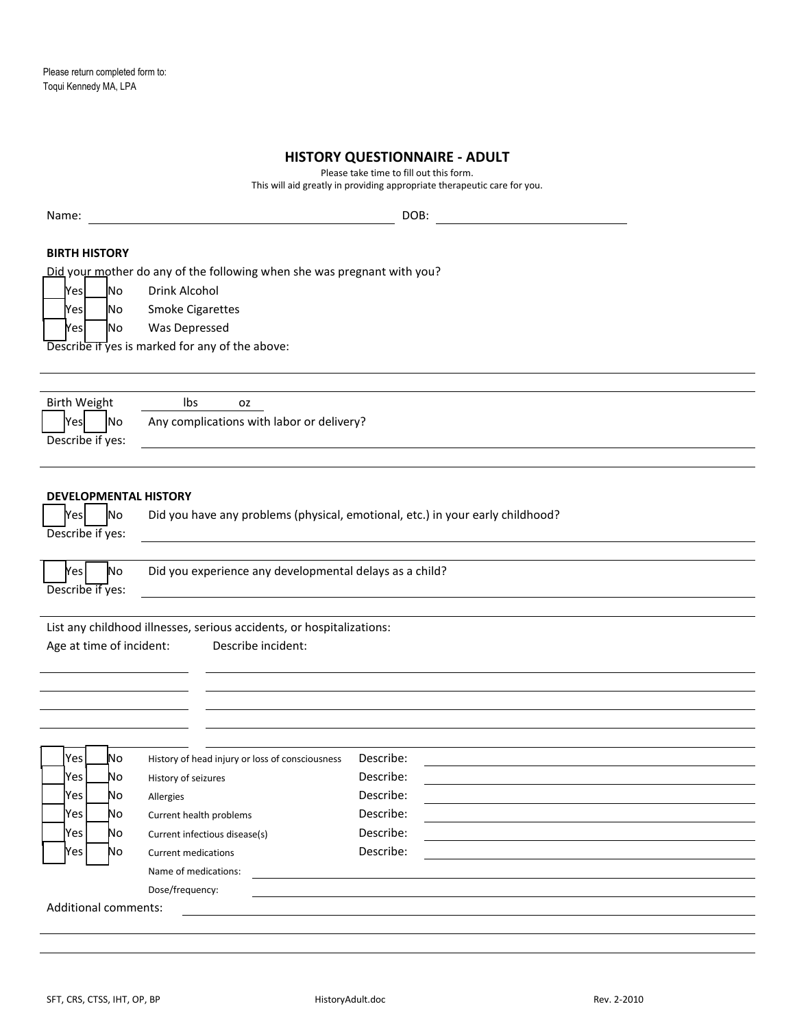# **HISTORY QUESTIONNAIRE - ADULT**

Please take time to fill out this form.

| This will aid greatly in providing appropriate therapeutic care for you. |                                                                                                 |                                                                                             |                                                                                |  |  |  |  |  |
|--------------------------------------------------------------------------|-------------------------------------------------------------------------------------------------|---------------------------------------------------------------------------------------------|--------------------------------------------------------------------------------|--|--|--|--|--|
| Name:                                                                    |                                                                                                 |                                                                                             | DOB:                                                                           |  |  |  |  |  |
|                                                                          | <b>BIRTH HISTORY</b><br>Did your mother do any of the following when she was pregnant with you? |                                                                                             |                                                                                |  |  |  |  |  |
| Yes                                                                      | No                                                                                              | Drink Alcohol                                                                               |                                                                                |  |  |  |  |  |
| Yes                                                                      | No.                                                                                             | <b>Smoke Cigarettes</b>                                                                     |                                                                                |  |  |  |  |  |
| Yes                                                                      | No                                                                                              | Was Depressed                                                                               |                                                                                |  |  |  |  |  |
|                                                                          |                                                                                                 | Describe if yes is marked for any of the above:                                             |                                                                                |  |  |  |  |  |
|                                                                          |                                                                                                 |                                                                                             |                                                                                |  |  |  |  |  |
| <b>Birth Weight</b>                                                      |                                                                                                 | Ibs<br>oz                                                                                   |                                                                                |  |  |  |  |  |
| <b>Yes</b>                                                               | No                                                                                              | Any complications with labor or delivery?                                                   |                                                                                |  |  |  |  |  |
| Describe if yes:                                                         |                                                                                                 |                                                                                             |                                                                                |  |  |  |  |  |
|                                                                          |                                                                                                 |                                                                                             |                                                                                |  |  |  |  |  |
| <b>Yes</b><br>Describe if yes:                                           | N <sub>o</sub>                                                                                  | <b>DEVELOPMENTAL HISTORY</b>                                                                | Did you have any problems (physical, emotional, etc.) in your early childhood? |  |  |  |  |  |
| es                                                                       | No                                                                                              | Did you experience any developmental delays as a child?                                     |                                                                                |  |  |  |  |  |
| Describe if yes:                                                         |                                                                                                 |                                                                                             |                                                                                |  |  |  |  |  |
|                                                                          |                                                                                                 |                                                                                             |                                                                                |  |  |  |  |  |
| Age at time of incident:                                                 |                                                                                                 | List any childhood illnesses, serious accidents, or hospitalizations:<br>Describe incident: |                                                                                |  |  |  |  |  |
|                                                                          |                                                                                                 |                                                                                             |                                                                                |  |  |  |  |  |
|                                                                          |                                                                                                 |                                                                                             |                                                                                |  |  |  |  |  |
|                                                                          |                                                                                                 |                                                                                             |                                                                                |  |  |  |  |  |
| <b>Yes</b>                                                               | No                                                                                              | History of head injury or loss of consciousness  Describe:                                  |                                                                                |  |  |  |  |  |
| Yes                                                                      | No                                                                                              | History of seizures                                                                         | Describe:                                                                      |  |  |  |  |  |
| Yes                                                                      | No                                                                                              | Allergies                                                                                   | Describe:                                                                      |  |  |  |  |  |
| <b>Yes</b>                                                               | No                                                                                              | Current health problems                                                                     | Describe:                                                                      |  |  |  |  |  |
| Yes                                                                      | No                                                                                              | Current infectious disease(s)                                                               | Describe:                                                                      |  |  |  |  |  |
| Yes                                                                      | No                                                                                              | <b>Current medications</b>                                                                  | Describe:                                                                      |  |  |  |  |  |
|                                                                          |                                                                                                 | Name of medications:                                                                        |                                                                                |  |  |  |  |  |
|                                                                          |                                                                                                 | Dose/frequency:                                                                             |                                                                                |  |  |  |  |  |
| Additional comments:                                                     |                                                                                                 |                                                                                             |                                                                                |  |  |  |  |  |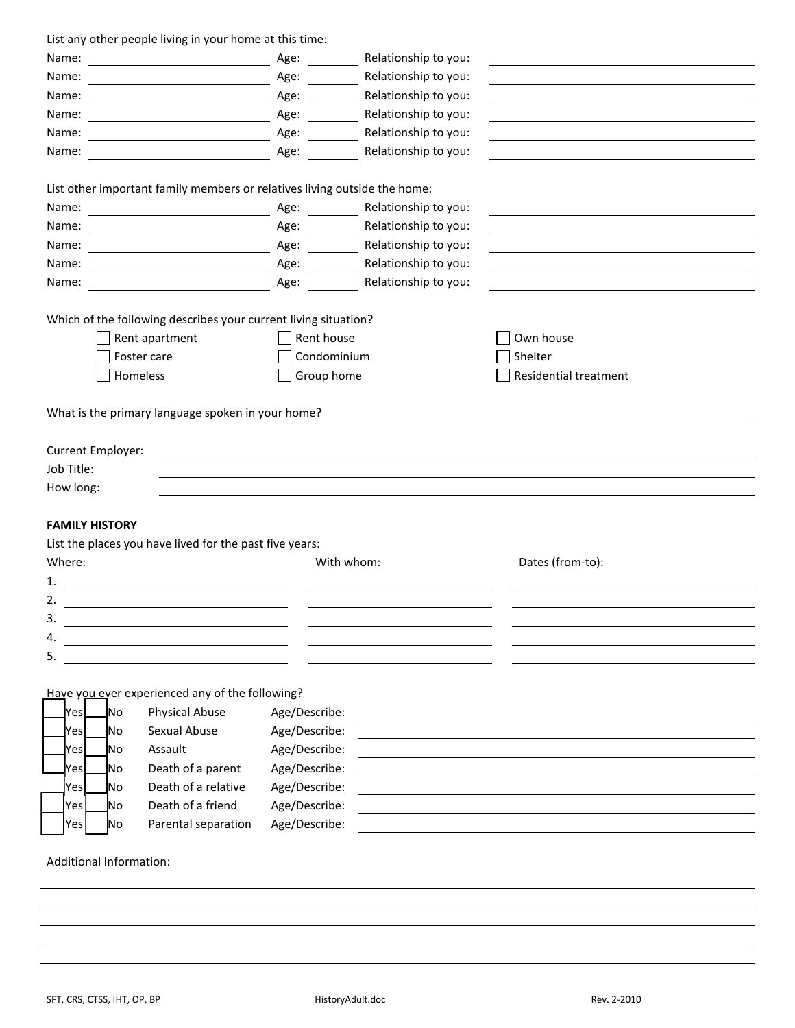| List any other people living in your home at this time: |  |  |
|---------------------------------------------------------|--|--|
|---------------------------------------------------------|--|--|

| Name:                   | <u> 1980 - Johann Barn, mars ann an t-Amhain Aonaich an t-Aonaich an t-Aonaich ann an t-Aonaich ann an t-Aonaich</u> | Age:          | Relationship to you:      |                       |  |
|-------------------------|----------------------------------------------------------------------------------------------------------------------|---------------|---------------------------|-----------------------|--|
| Name:                   |                                                                                                                      | Age:          | Relationship to you:      |                       |  |
| Name:                   |                                                                                                                      | Age:          | Relationship to you:      |                       |  |
| Name:                   |                                                                                                                      | Age:          | Relationship to you:      |                       |  |
| Name:                   |                                                                                                                      | Age:          | Relationship to you:      |                       |  |
| Name:                   | <u> 1989 - Johann Barnett, fransk politiker (</u>                                                                    | Age:          | Relationship to you:      |                       |  |
|                         |                                                                                                                      |               |                           |                       |  |
|                         | List other important family members or relatives living outside the home:                                            |               |                           |                       |  |
| Name:                   |                                                                                                                      |               | Age: Relationship to you: |                       |  |
| Name:                   |                                                                                                                      | Age:          | Relationship to you:      |                       |  |
| Name:                   |                                                                                                                      | Age:          | Relationship to you:      |                       |  |
| Name:                   |                                                                                                                      | Age:          | Relationship to you:      |                       |  |
| Name:                   |                                                                                                                      | Age:          | Relationship to you:      |                       |  |
|                         |                                                                                                                      |               |                           |                       |  |
|                         | Which of the following describes your current living situation?                                                      |               |                           |                       |  |
|                         | Rent apartment                                                                                                       | Rent house    |                           | Own house             |  |
|                         | Foster care                                                                                                          | Condominium   |                           | Shelter               |  |
| Homeless                |                                                                                                                      | Group home    |                           | Residential treatment |  |
| Current Employer:       | What is the primary language spoken in your home?                                                                    |               |                           |                       |  |
| Job Title:              |                                                                                                                      |               |                           |                       |  |
| How long:               |                                                                                                                      |               |                           |                       |  |
|                         |                                                                                                                      |               |                           |                       |  |
| <b>FAMILY HISTORY</b>   |                                                                                                                      |               |                           |                       |  |
|                         | List the places you have lived for the past five years:                                                              |               |                           |                       |  |
| Where:                  |                                                                                                                      | With whom:    |                           | Dates (from-to):      |  |
| 1.                      |                                                                                                                      |               |                           |                       |  |
| 2.                      |                                                                                                                      |               |                           |                       |  |
| 3.                      |                                                                                                                      |               |                           |                       |  |
| 4.                      |                                                                                                                      |               |                           |                       |  |
| 5.                      |                                                                                                                      |               |                           |                       |  |
|                         |                                                                                                                      |               |                           |                       |  |
|                         | Have you ever experienced any of the following?                                                                      |               |                           |                       |  |
| <u>l</u> No<br> Yes     | <b>Physical Abuse</b>                                                                                                | Age/Describe: |                           |                       |  |
| lNo<br>Yesl             | Sexual Abuse                                                                                                         | Age/Describe: |                           |                       |  |
| lYesl<br>Νo             | Assault                                                                                                              | Age/Describe: |                           |                       |  |
| No.<br>Nesl             | Death of a parent                                                                                                    | Age/Describe: |                           |                       |  |
| Yesl<br>Νo              | Death of a relative                                                                                                  | Age/Describe: |                           |                       |  |
| Yes<br>No               | Death of a friend                                                                                                    | Age/Describe: |                           |                       |  |
| Yes<br>No               | Parental separation                                                                                                  | Age/Describe: |                           |                       |  |
| Additional Information: |                                                                                                                      |               |                           |                       |  |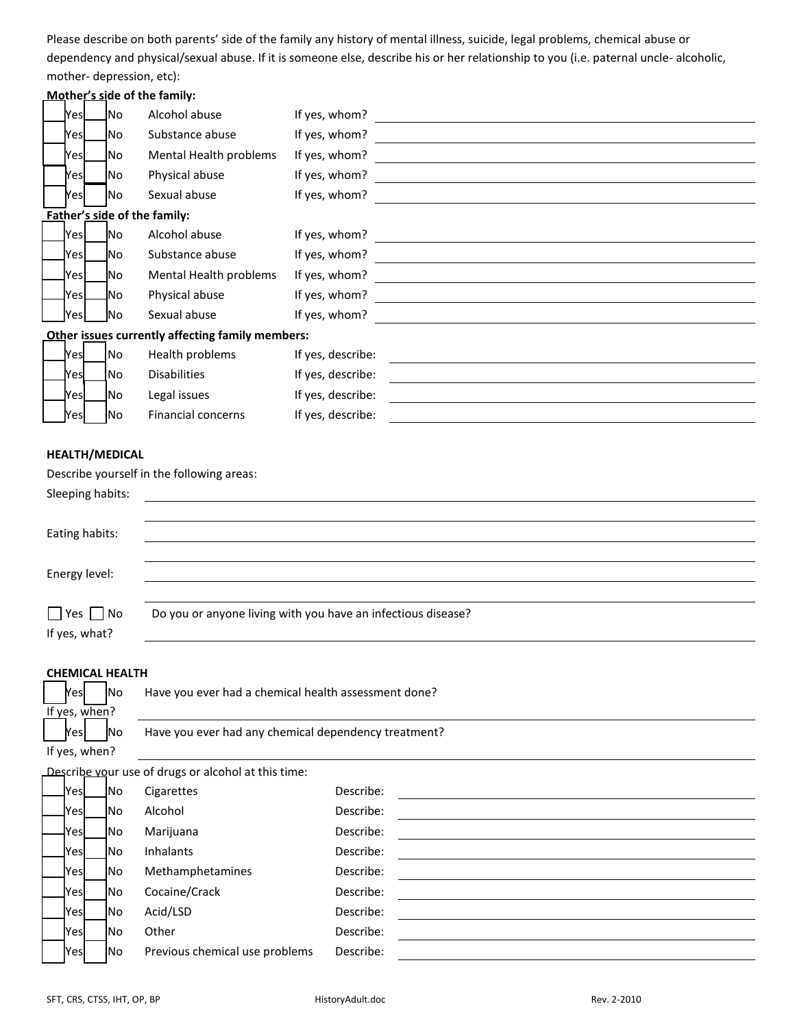Please describe on both parents' side of the family any history of mental illness, suicide, legal problems, chemical abuse or dependency and physical/sexual abuse. If it is someone else, describe his or her relationship to you (i.e. paternal uncle- alcoholic, mother- depression, etc):

### **Mother's side of the family:**

| Yesl           | No. | Alcohol abuse                                    | If yes, whom?     |  |
|----------------|-----|--------------------------------------------------|-------------------|--|
| Yesl           | No  | Substance abuse                                  | If yes, whom?     |  |
| Yesl           | No. | Mental Health problems                           | If yes, whom?     |  |
| Yesl           | No  | Physical abuse                                   | If yes, whom?     |  |
| Yesl           | No  | Sexual abuse                                     | If yes, whom?     |  |
|                |     | Father's side of the family:                     |                   |  |
| lYesl          | No. | Alcohol abuse                                    | If yes, whom?     |  |
| lYesl          | No. | Substance abuse                                  | If yes, whom?     |  |
| lYesl          | No. | Mental Health problems                           | If yes, whom?     |  |
| <u>l</u> Yes L | _No | Physical abuse                                   | If yes, whom?     |  |
| <b>Yes</b>     | No. | Sexual abuse                                     | If yes, whom?     |  |
|                |     | Other issues currently affecting family members: |                   |  |
| <b>Yes</b>     | No. | Health problems                                  | If yes, describe: |  |
| Yesl           | No. | <b>Disabilities</b>                              | If yes, describe: |  |
| Yesl           | No  | Legal issues                                     | If yes, describe: |  |
| Yesl           | No  | <b>Financial concerns</b>                        | If yes, describe: |  |
|                |     |                                                  |                   |  |

### **HEALTH/MEDICAL**

| Describe yourself in the following areas:                    |  |  |  |  |  |  |
|--------------------------------------------------------------|--|--|--|--|--|--|
|                                                              |  |  |  |  |  |  |
|                                                              |  |  |  |  |  |  |
|                                                              |  |  |  |  |  |  |
|                                                              |  |  |  |  |  |  |
|                                                              |  |  |  |  |  |  |
|                                                              |  |  |  |  |  |  |
| Do you or anyone living with you have an infectious disease? |  |  |  |  |  |  |
|                                                              |  |  |  |  |  |  |
|                                                              |  |  |  |  |  |  |

## **CHEMICAL HEALTH**

| lYesl<br><b>INo</b>     | Have you ever had a chemical health assessment done? |
|-------------------------|------------------------------------------------------|
| If yes, when?           |                                                      |
| <b>Yes</b><br><b>No</b> | Have you ever had any chemical dependency treatment? |
| If yes, when?           |                                                      |
|                         | Describe your use of drugs or alcohol at this time:  |

| <u>l</u> Yesl | <b>No</b>  | Cigarettes                     | Describe: |
|---------------|------------|--------------------------------|-----------|
| <u>l</u> Yesl | <b>No</b>  | Alcohol                        | Describe: |
| -Yesl         | <b>No</b>  | Marijuana                      | Describe: |
| JYesl         | <b>No</b>  | <b>Inhalants</b>               | Describe: |
| <b>Yes</b>    | <b>No</b>  | Methamphetamines               | Describe: |
| <u> </u> Yes  | <b>No</b>  | Cocaine/Crack                  | Describe: |
| <b>Yes</b>    | <b>INO</b> | Acid/LSD                       | Describe: |
| <b>Yes</b>    | <b>No</b>  | Other                          | Describe: |
| <b>Yes</b>    | <b>No</b>  | Previous chemical use problems | Describe: |
|               |            |                                |           |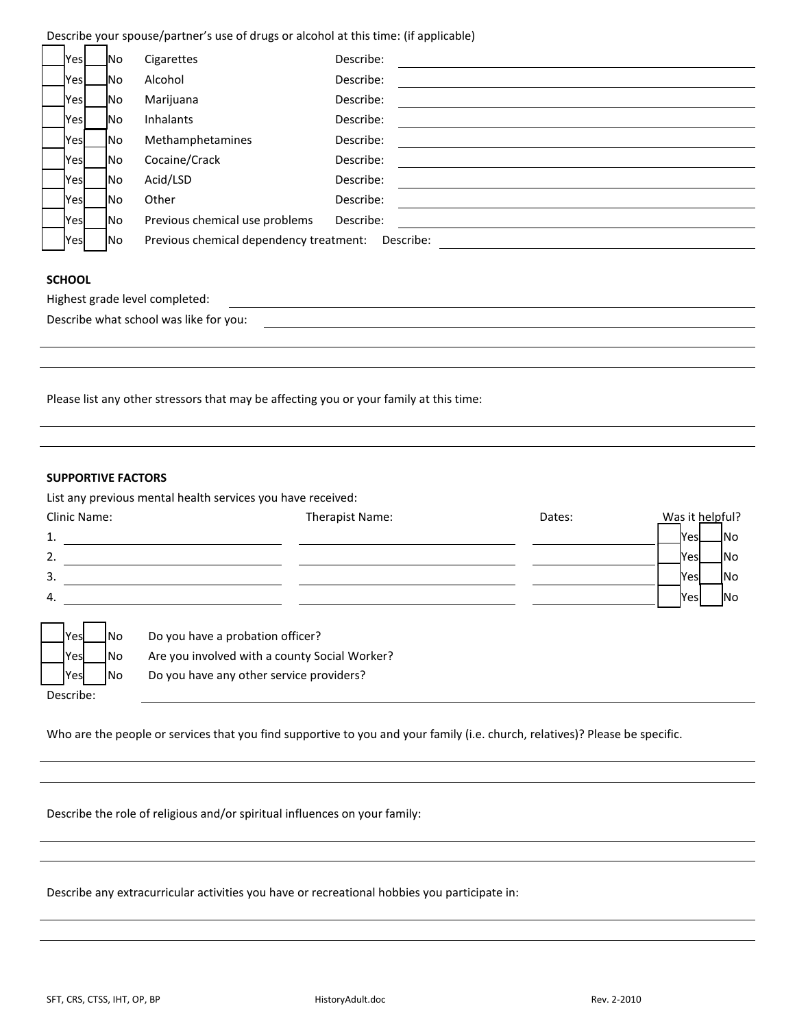Describe your spouse/partner's use of drugs or alcohol at this time: (if applicable)

| Yes        | No.        | Cigarettes                              | Describe: |
|------------|------------|-----------------------------------------|-----------|
| Yes        | lNo.       | Alcohol                                 | Describe: |
| <b>Pes</b> | lNo.       | Marijuana                               | Describe: |
| Yes        | lNo.       | <b>Inhalants</b>                        | Describe: |
| <b>Yes</b> | INo.       | Methamphetamines                        | Describe: |
| <b>Yes</b> | <b>INO</b> | Cocaine/Crack                           | Describe: |
| <b>Yes</b> | INo.       | Acid/LSD                                | Describe: |
| <b>Yes</b> | <b>INO</b> | Other                                   | Describe: |
| <b>Yes</b> | <b>INO</b> | Previous chemical use problems          | Describe: |
| Yes        | No.        | Previous chemical dependency treatment: | Describe: |

#### **SCHOOL**

| Highest grade level completed:         |  |
|----------------------------------------|--|
| Describe what school was like for you: |  |
|                                        |  |

Please list any other stressors that may be affecting you or your family at this time:

## **SUPPORTIVE FACTORS**

List any previous mental health services you have received:

| Clinic Name: |     | Therapist Name:                               | Dates: | Was it helpful? |                |
|--------------|-----|-----------------------------------------------|--------|-----------------|----------------|
| $\mathbf{1}$ |     |                                               |        | lYesl           | <u>INo</u>     |
| 2.           |     |                                               |        | Yesl            | <b>No</b>      |
| 3.           |     |                                               |        | Yesl            | <b>No</b>      |
| 4.           |     |                                               |        | <b>Yes</b>      | N <sub>o</sub> |
|              |     |                                               |        |                 |                |
| Yes          | No  | Do you have a probation officer?              |        |                 |                |
| <b>Yes</b>   | No  | Are you involved with a county Social Worker? |        |                 |                |
| <b>Yes</b>   | INo | Do you have any other service providers?      |        |                 |                |
| Describe:    |     |                                               |        |                 |                |

Who are the people or services that you find supportive to you and your family (i.e. church, relatives)? Please be specific.

Describe the role of religious and/or spiritual influences on your family:

Describe any extracurricular activities you have or recreational hobbies you participate in: